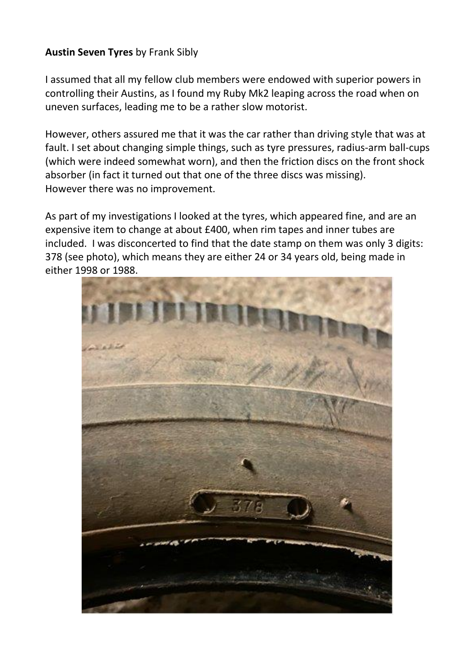## **Austin Seven Tyres** by Frank Sibly

I assumed that all my fellow club members were endowed with superior powers in controlling their Austins, as I found my Ruby Mk2 leaping across the road when on uneven surfaces, leading me to be a rather slow motorist.

However, others assured me that it was the car rather than driving style that was at fault. I set about changing simple things, such as tyre pressures, radius-arm ball-cups (which were indeed somewhat worn), and then the friction discs on the front shock absorber (in fact it turned out that one of the three discs was missing). However there was no improvement.

As part of my investigations I looked at the tyres, which appeared fine, and are an expensive item to change at about £400, when rim tapes and inner tubes are included. I was disconcerted to find that the date stamp on them was only 3 digits: 378 (see photo), which means they are either 24 or 34 years old, being made in either 1998 or 1988.